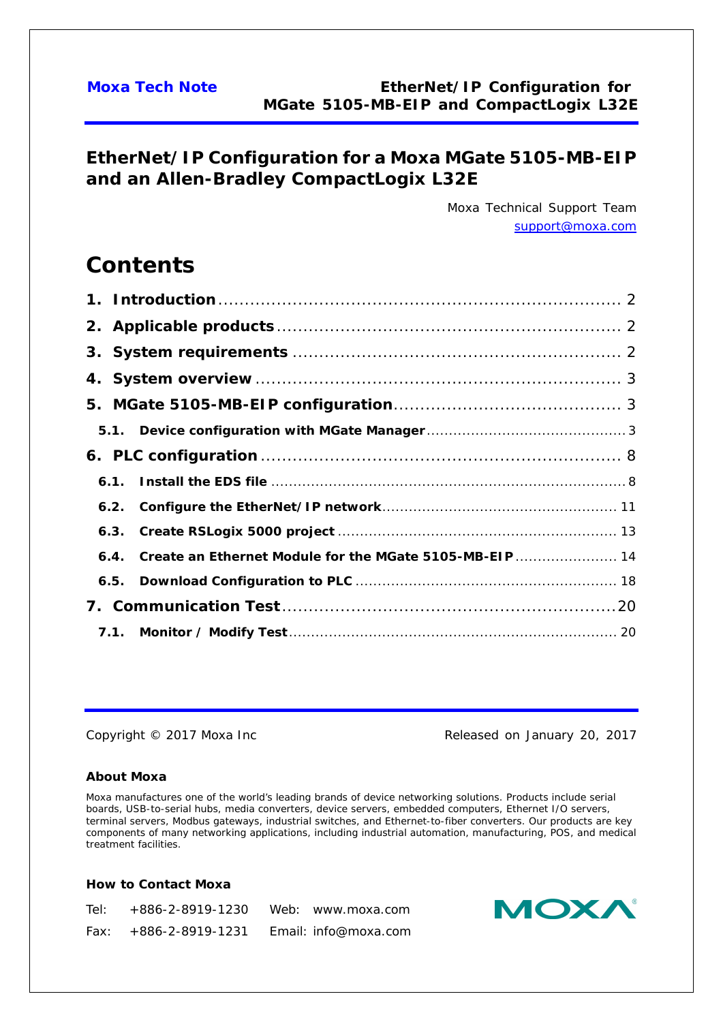## **EtherNet/IP Configuration for a Moxa MGate 5105-MB-EIP and an Allen-Bradley CompactLogix L32E**

*Moxa Technical Support Team [support@moxa.com](mailto:support@moxa.com)*

# **Contents**

| 6.4. Create an Ethernet Module for the MGate 5105-MB-EIP  14 |  |
|--------------------------------------------------------------|--|
|                                                              |  |
|                                                              |  |
|                                                              |  |

Copyright © 2017 Moxa Inc **Released on January 20, 2017** 

### **About Moxa**

Moxa manufactures one of the world's leading brands of device networking solutions. Products include serial boards, USB-to-serial hubs, media converters, device servers, embedded computers, Ethernet I/O servers, terminal servers, Modbus gateways, industrial switches, and Ethernet-to-fiber converters. Our products are key components of many networking applications, including industrial automation, manufacturing, POS, and medical treatment facilities.

### **How to Contact Moxa**

| Tel: +886-2-8919-1230   | Web: www.moxa.com    |
|-------------------------|----------------------|
| $Fax: +886-2-8919-1231$ | Email: info@moxa.com |

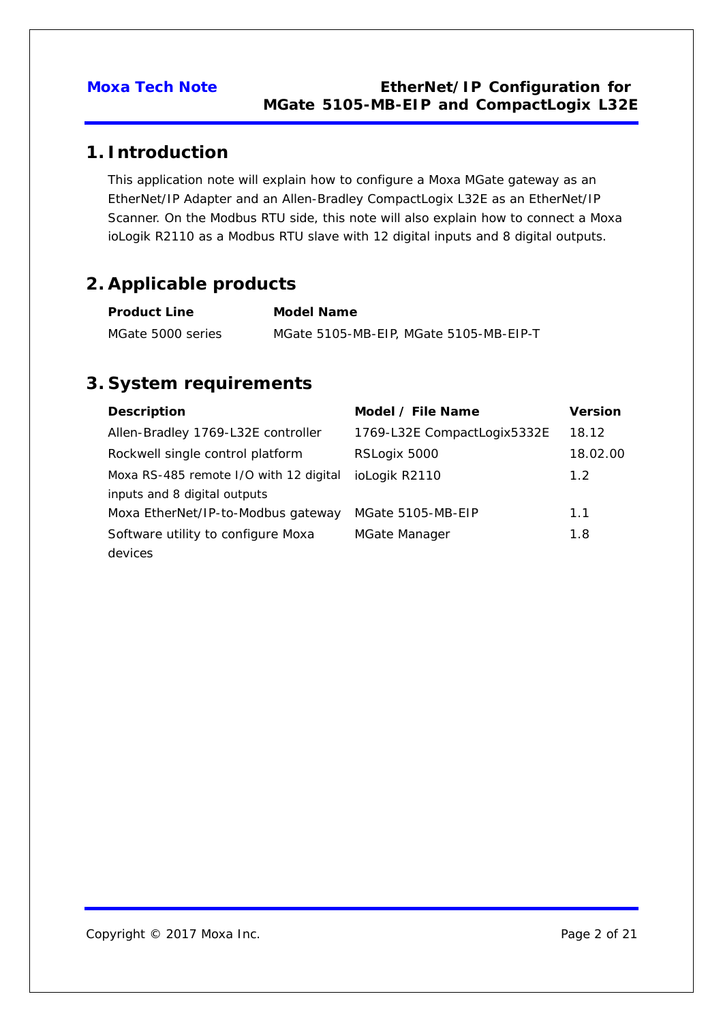## <span id="page-1-0"></span>**1. Introduction**

This application note will explain how to configure a Moxa MGate gateway as an EtherNet/IP Adapter and an Allen-Bradley CompactLogix L32E as an EtherNet/IP Scanner. On the Modbus RTU side, this note will also explain how to connect a Moxa ioLogik R2110 as a Modbus RTU slave with 12 digital inputs and 8 digital outputs.

## <span id="page-1-1"></span>**2. Applicable products**

| <b>Product Line</b> | <b>Model Name</b>                      |
|---------------------|----------------------------------------|
| MGate 5000 series   | MGate 5105-MB-EIP, MGate 5105-MB-EIP-T |

## <span id="page-1-2"></span>**3. System requirements**

| <b>Description</b>                     | Model / File Name           | <b>Version</b>   |
|----------------------------------------|-----------------------------|------------------|
| Allen-Bradley 1769-L32E controller     | 1769-L32E CompactLogix5332E | 18.12            |
| Rockwell single control platform       | RSLogix 5000                | 18.02.00         |
| Moxa RS-485 remote I/O with 12 digital | ioLogik R2110               | 1.2 <sub>2</sub> |
| inputs and 8 digital outputs           |                             |                  |
| Moxa EtherNet/IP-to-Modbus gateway     | MGate 5105-MB-EIP           | 1.1              |
| Software utility to configure Moxa     | MGate Manager               | 1.8              |
| devices                                |                             |                  |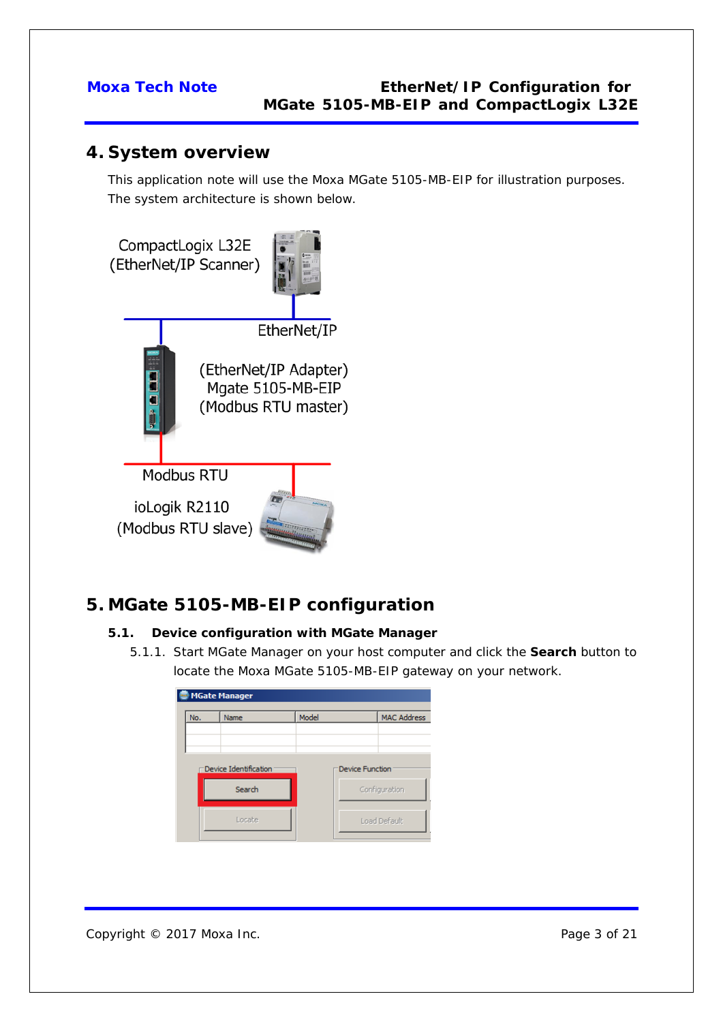## <span id="page-2-0"></span>**4. System overview**

This application note will use the Moxa MGate 5105-MB-EIP for illustration purposes. The system architecture is shown below.



## <span id="page-2-1"></span>**5. MGate 5105-MB-EIP configuration**

### <span id="page-2-2"></span>**5.1. Device configuration with MGate Manager**

5.1.1. Start MGate Manager on your host computer and click the **Search** button to locate the Moxa MGate 5105-MB-EIP gateway on your network.

| <b>MGate Manager</b>  |       |                        |                    |
|-----------------------|-------|------------------------|--------------------|
| Name                  | Model |                        | <b>MAC Address</b> |
|                       |       |                        |                    |
|                       |       |                        |                    |
| Device Identification |       | <b>Device Function</b> |                    |
| Search                |       |                        | Configuration      |
|                       |       |                        |                    |
| Locate                |       |                        | Load Default       |
|                       |       |                        |                    |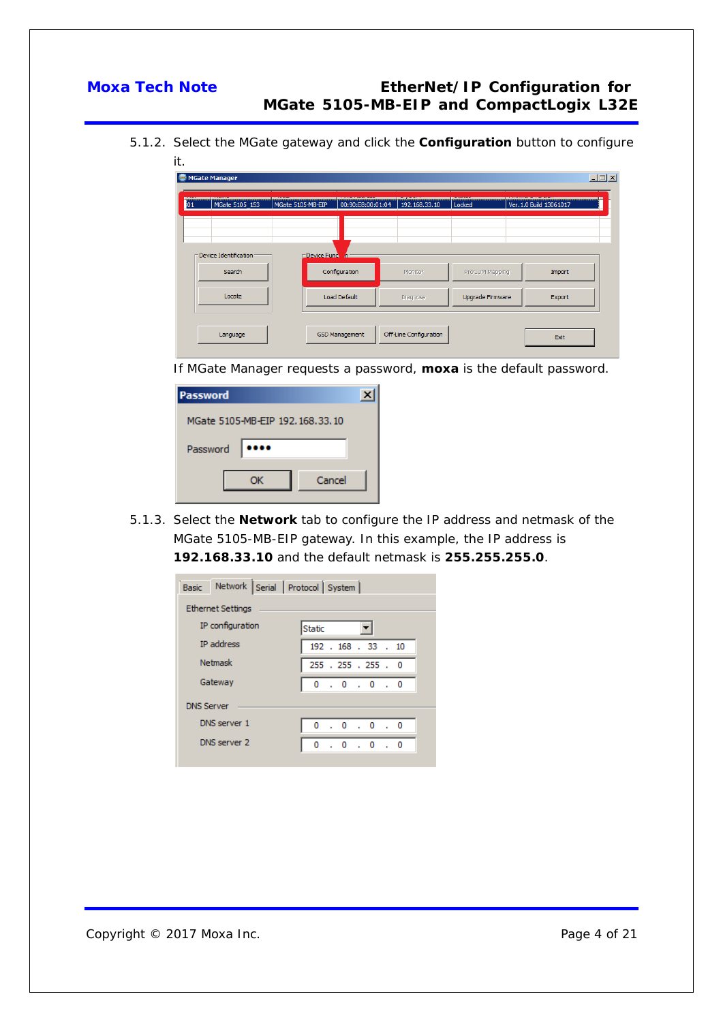5.1.2. Select the MGate gateway and click the **Configuration** button to configure it.

| MGate 5105_153        | MGate 5105-MB-EIP          | 00:90:E8:00:01:04 | 192.168.33.10 | Locked           | Ver. 1.0 Build 13061017 |
|-----------------------|----------------------------|-------------------|---------------|------------------|-------------------------|
|                       |                            |                   |               |                  |                         |
| Device Identification | <b>Device Fund America</b> |                   |               |                  |                         |
| Search                | Configuration              |                   | Monitor       | ProCOM Mapping   | Import                  |
| Locate                | Load Default               |                   | Diagnose      | Upgrade Firmware | Export                  |

If MGate Manager requests a password, **moxa** is the default password.

| Password                        |  |
|---------------------------------|--|
| MGate 5105-MB-EIP 192.168.33.10 |  |
| Password<br>                    |  |
| Cancel<br>ОК                    |  |

5.1.3. Select the **Network** tab to configure the IP address and netmask of the MGate 5105-MB-EIP gateway. In this example, the IP address is **192.168.33.10** and the default netmask is **255.255.255.0**.

| <b>Ethernet Settings</b>          |                                                                                                     |  |   |  |  |  |                                |  |                                                                                     |
|-----------------------------------|-----------------------------------------------------------------------------------------------------|--|---|--|--|--|--------------------------------|--|-------------------------------------------------------------------------------------|
| IP configuration<br><b>Static</b> |                                                                                                     |  |   |  |  |  |                                |  |                                                                                     |
|                                   |                                                                                                     |  |   |  |  |  |                                |  |                                                                                     |
|                                   |                                                                                                     |  |   |  |  |  |                                |  |                                                                                     |
|                                   |                                                                                                     |  |   |  |  |  |                                |  |                                                                                     |
|                                   |                                                                                                     |  |   |  |  |  |                                |  |                                                                                     |
|                                   |                                                                                                     |  |   |  |  |  |                                |  |                                                                                     |
|                                   |                                                                                                     |  | 0 |  |  |  |                                |  |                                                                                     |
|                                   | <b>IP</b> address<br><b>Netmask</b><br>Gateway<br><b>DNS Server</b><br>DNS server 1<br>DNS server 2 |  |   |  |  |  | Network Serial Protocol System |  | 192 . 168 . 33 . 10<br>255 . 255 . 255 . 0<br>0.0.0.0.0<br>0.0.0.0.0<br>. 0 . 0 . 0 |

Copyright © 2017 Moxa Inc. extending the control of 21 Page 4 of 21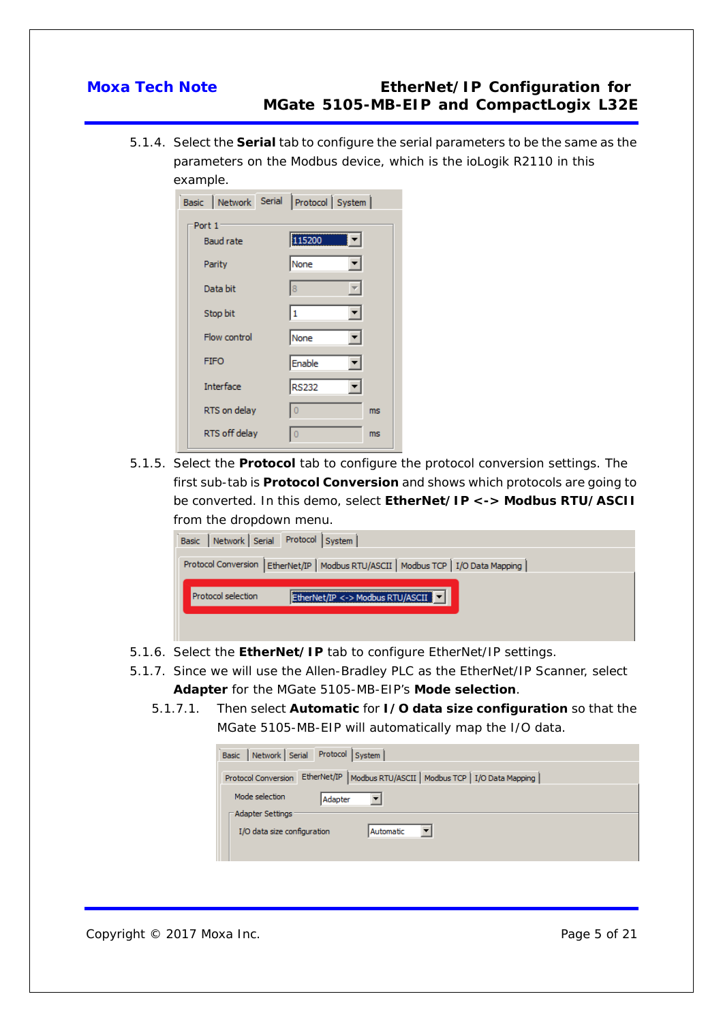5.1.4. Select the **Serial** tab to configure the serial parameters to be the same as the parameters on the Modbus device, which is the ioLogik R2110 in this example.

|                  | Basic Network Serial Protocol System |
|------------------|--------------------------------------|
| Port 1           |                                      |
| <b>Baud rate</b> | 115200                               |
| Parity           | None                                 |
| Data bit         | $\overline{\mathbf{8}}$<br>▼.        |
| Stop bit         | ▾<br>$\overline{\mathbf{1}}$         |
| Flow control     | None<br>▼∣                           |
| <b>FIFO</b>      | Enable                               |
| <b>Interface</b> | <b>RS232</b>                         |
| RTS on delay     | Ò<br>ms                              |
| RTS off delay    | 0<br>ms.                             |

5.1.5. Select the **Protocol** tab to configure the protocol conversion settings. The first sub-tab is **Protocol Conversion** and shows which protocols are going to be converted. In this demo, select **EtherNet/IP <-> Modbus RTU/ASCII** from the dropdown menu.

| Basic Network Serial Protocol System                                                 |
|--------------------------------------------------------------------------------------|
| Protocol Conversion   EtherNet/IP   Modbus RTU/ASCII   Modbus TCP   I/O Data Mapping |
| EtherNet/IP <-> Modbus RTU/ASCII<br>Protocol selection                               |
|                                                                                      |
|                                                                                      |

- 5.1.6. Select the **EtherNet/IP** tab to configure EtherNet/IP settings.
- 5.1.7. Since we will use the Allen-Bradley PLC as the EtherNet/IP Scanner, select **Adapter** for the MGate 5105-MB-EIP's **Mode selection**.
	- 5.1.7.1. Then select **Automatic** for **I/O data size configuration** so that the MGate 5105-MB-EIP will automatically map the I/O data.

| Basic   Network   Serial Protocol   System                                              |
|-----------------------------------------------------------------------------------------|
| EtherNet/IP   Modbus RTU/ASCII   Modbus TCP   I/O Data Mapping  <br>Protocol Conversion |
| Mode selection                                                                          |
| Adapter                                                                                 |
| - Adapter Settings <sup>.</sup>                                                         |
| I/O data size configuration<br>Automatic                                                |
|                                                                                         |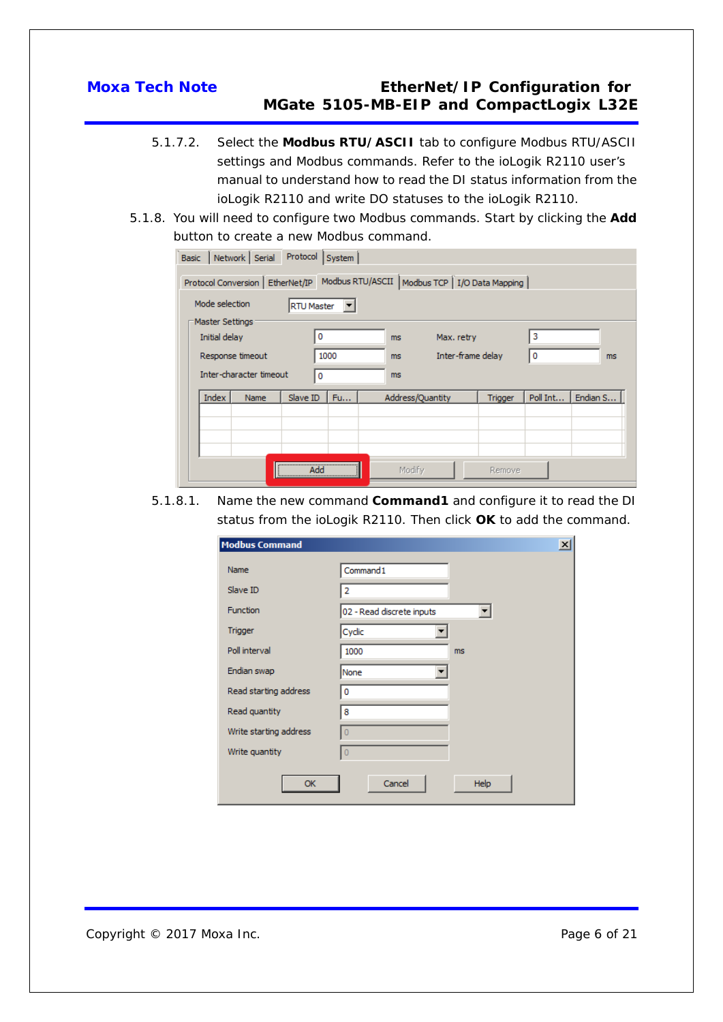- 5.1.7.2. Select the **Modbus RTU/ASCII** tab to configure Modbus RTU/ASCII settings and Modbus commands. Refer to the ioLogik R2110 user's manual to understand how to read the DI status information from the ioLogik R2110 and write DO statuses to the ioLogik R2110.
- 5.1.8. You will need to configure two Modbus commands. Start by clicking the **Add** button to create a new Modbus command.

| Protocol<br>Network Serial<br><b>Basic</b><br>System |                                                                                         |                          |         |          |          |  |  |  |
|------------------------------------------------------|-----------------------------------------------------------------------------------------|--------------------------|---------|----------|----------|--|--|--|
|                                                      | Modbus RTU/ASCII   Modbus TCP   I/O Data Mapping  <br>Protocol Conversion   EtherNet/IP |                          |         |          |          |  |  |  |
| Mode selection                                       | <b>RTU Master</b>                                                                       |                          |         |          |          |  |  |  |
| Master Settings                                      |                                                                                         |                          |         |          |          |  |  |  |
| Initial delay                                        | 0                                                                                       | Max. retry<br>ms.        |         | з        |          |  |  |  |
| Response timeout                                     | 1000                                                                                    | Inter-frame delay<br>ms. |         | 0        | ms       |  |  |  |
| Inter-character timeout                              | 0                                                                                       | ms.                      |         |          |          |  |  |  |
| <b>Index</b><br><b>Name</b>                          | Slave ID<br>Fu                                                                          | Address/Quantity         | Trigger | Poll Int | Endian S |  |  |  |
|                                                      |                                                                                         |                          |         |          |          |  |  |  |
|                                                      |                                                                                         |                          |         |          |          |  |  |  |
|                                                      |                                                                                         |                          |         |          |          |  |  |  |
|                                                      | <br>Add                                                                                 | Modify                   | Remove  |          |          |  |  |  |

5.1.8.1. Name the new command **Command1** and configure it to read the DI status from the ioLogik R2110. Then click **OK** to add the command.

| <b>Modbus Command</b>  |                           | $\overline{\mathbf{x}}$ |
|------------------------|---------------------------|-------------------------|
| Name                   | Command1                  |                         |
| Slave ID               | 2                         |                         |
| <b>Function</b>        | 02 - Read discrete inputs |                         |
| Trigger                | Cyclic                    |                         |
| Poll interval          | 1000                      | ms.                     |
| Endian swap            | None                      |                         |
| Read starting address  | 0                         |                         |
| Read quantity          | 8                         |                         |
| Write starting address | $\overline{0}$            |                         |
| Write quantity         | $\overline{0}$            |                         |
| OK                     | Cancel                    | Help                    |

Copyright © 2017 Moxa Inc. **Page 6 of 21** Page 6 of 21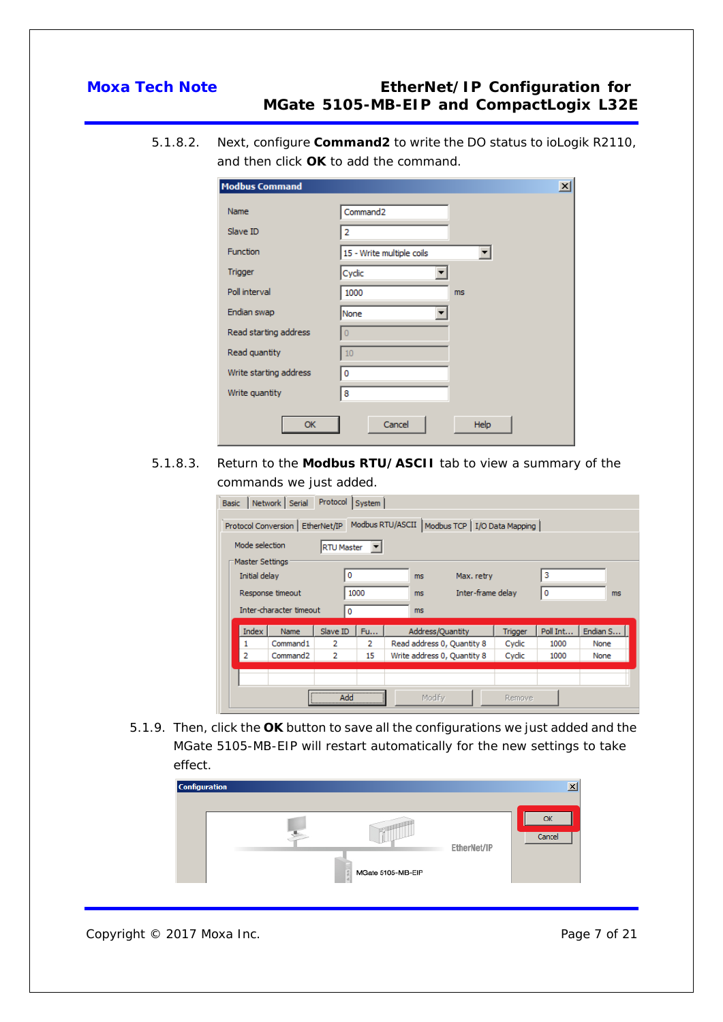5.1.8.2. Next, configure **Command2** to write the DO status to ioLogik R2110, and then click **OK** to add the command.

| <b>Modbus Command</b>  |                                | $\vert x \vert$ |
|------------------------|--------------------------------|-----------------|
| Name                   | Command <sub>2</sub>           |                 |
| Slave ID               | 2                              |                 |
| <b>Function</b>        | 15 - Write multiple coils<br>▾ |                 |
| Trigger                | Cyclic                         |                 |
| Poll interval          | 1000<br>ms                     |                 |
| Endian swap            | None                           |                 |
| Read starting address  | $\overline{0}$                 |                 |
| Read quantity          | 10                             |                 |
| Write starting address | 0                              |                 |
| Write quantity         | 8                              |                 |
| OK                     | Cancel<br><b>Help</b>          |                 |

5.1.8.3. Return to the **Modbus RTU/ASCII** tab to view a summary of the commands we just added.

| <b>Basic</b> | Network Serial                      | Protocol | System |                                                  |         |          |          |
|--------------|-------------------------------------|----------|--------|--------------------------------------------------|---------|----------|----------|
|              | Protocol Conversion   EtherNet/IP   |          |        | Modbus RTU/ASCII   Modbus TCP   I/O Data Mapping |         |          |          |
|              | Mode selection<br><b>RTU Master</b> |          |        |                                                  |         |          |          |
|              | Master Settings                     |          |        |                                                  |         |          |          |
|              | Initial delay                       | 0        |        | Max. retry<br>ms                                 |         | 3        |          |
|              | Response timeout                    |          | 1000   | Inter-frame delay<br>ms.                         |         | 0        | ms       |
|              | Inter-character timeout             | 0        |        | ms                                               |         |          |          |
|              | <b>Index</b><br><b>Name</b>         | Slave ID | Fu     | Address/Quantity                                 | Trigger | Poll Int | Endian S |
| 1            | Command1                            | 2        | 2      | Read address 0, Quantity 8                       | Cyclic  | 1000     | None     |
| 2            | Command2                            | 2        | 15     | Write address 0, Quantity 8                      | Cyclic  | 1000     | None     |
|              |                                     |          |        |                                                  |         |          |          |
|              |                                     |          |        |                                                  |         |          |          |
|              |                                     | Add      |        | Modify                                           | Remove  |          |          |

5.1.9. Then, click the **OK** button to save all the configurations we just added and the MGate 5105-MB-EIP will restart automatically for the new settings to take effect.

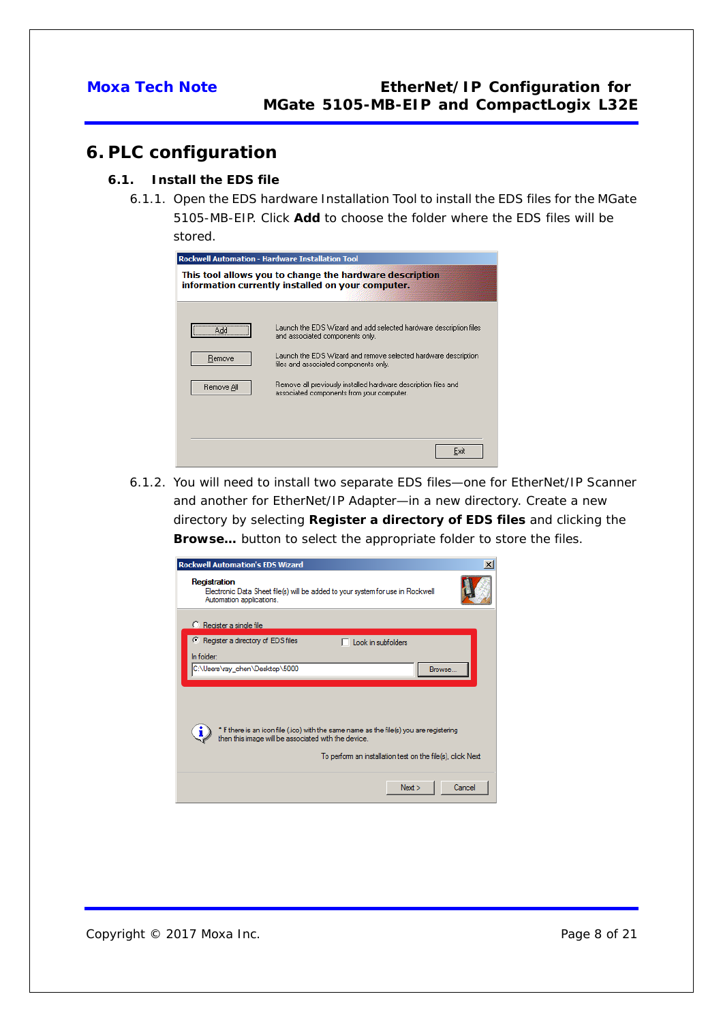## <span id="page-7-0"></span>**6. PLC configuration**

### <span id="page-7-1"></span>**6.1. Install the EDS file**

6.1.1. Open the EDS hardware Installation Tool to install the EDS files for the MGate 5105-MB-EIP. Click **Add** to choose the folder where the EDS files will be stored.

| <b>Rockwell Automation - Hardware Installation Tool</b><br>This tool allows you to change the hardware description |                                                                                                                                                                                                                 |  |
|--------------------------------------------------------------------------------------------------------------------|-----------------------------------------------------------------------------------------------------------------------------------------------------------------------------------------------------------------|--|
| information currently installed on your computer.                                                                  |                                                                                                                                                                                                                 |  |
| <br>Add<br>Remove                                                                                                  | Launch the EDS Wizard and add selected hardware description files<br>and associated components only.<br>Launch the EDS Wizard and remove selected hardware description<br>files and associated components only. |  |
| Remove All                                                                                                         | Remove all previously installed hardware description files and<br>associated components from your computer.                                                                                                     |  |
|                                                                                                                    | Exit                                                                                                                                                                                                            |  |

6.1.2. You will need to install two separate EDS files—one for EtherNet/IP Scanner and another for EtherNet/IP Adapter—in a new directory. Create a new directory by selecting **Register a directory of EDS files** and clicking the **Browse…** button to select the appropriate folder to store the files.

| <b>Rockwell Automation's EDS Wizard</b>                                                                                                       |        |
|-----------------------------------------------------------------------------------------------------------------------------------------------|--------|
| Registration<br>Electronic Data Sheet file(s) will be added to your system for use in Rockwell<br>Automation applications.                    |        |
| C Register a single file                                                                                                                      |        |
| Register a directory of EDS files<br>$\Box$ Look in subfolders                                                                                |        |
| In folder:                                                                                                                                    |        |
| C:\Users\ray_chen\Desktop\5000<br>Browse                                                                                                      |        |
|                                                                                                                                               |        |
|                                                                                                                                               |        |
|                                                                                                                                               |        |
| * If there is an icon file (ico) with the same name as the file(s) you are registering<br>then this image will be associated with the device. |        |
| To perform an installation test on the file(s), click Next                                                                                    |        |
| Next                                                                                                                                          | Cancel |

Copyright © 2017 Moxa Inc. **Page 8 of 21** Page 8 of 21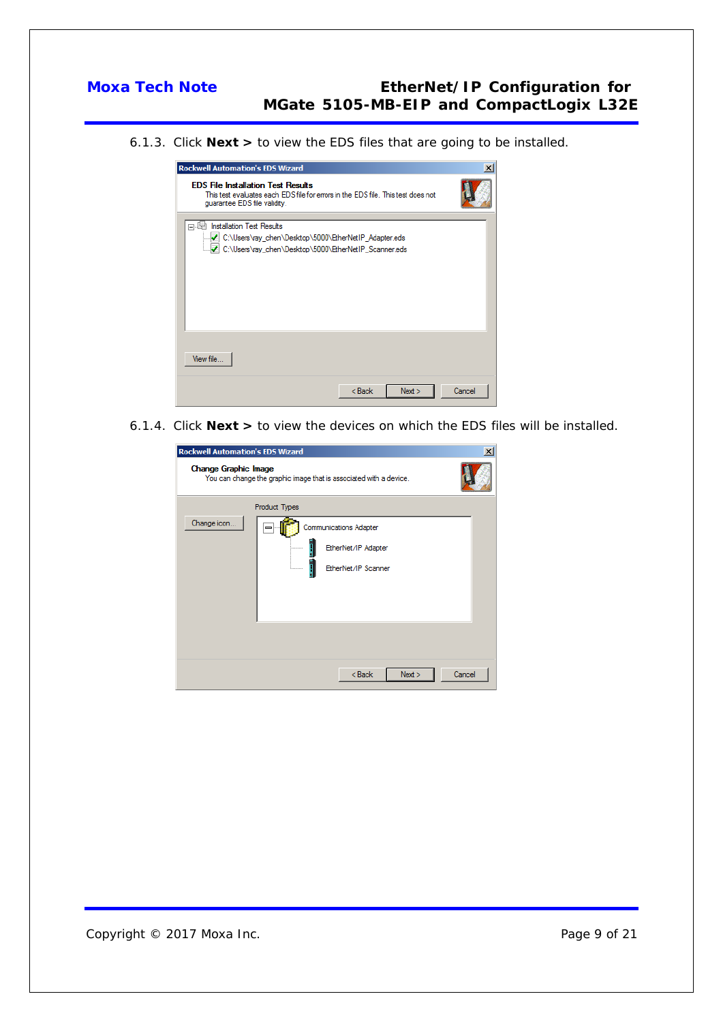6.1.3. Click **Next >** to view the EDS files that are going to be installed.

| <b>Rockwell Automation's EDS Wizard</b>                                                                                                                       | ×      |
|---------------------------------------------------------------------------------------------------------------------------------------------------------------|--------|
| <b>EDS File Installation Test Results</b><br>This test evaluates each EDS file for errors in the EDS file. This test does not<br>quarantee EDS file validity. |        |
| <b>Installation Test Results</b><br>中間<br>C:\Users\ray_chen\Desktop\5000\EtherNetIP_Adapter.eds<br>C:\Users\ray_chen\Desktop\5000\EtherNetIP_Scanner.eds      |        |
| View file                                                                                                                                                     |        |
| $Back$<br>Next                                                                                                                                                | Cancel |

6.1.4. Click **Next >** to view the devices on which the EDS files will be installed.

| <b>Rockwell Automation's EDS Wizard</b>                                                           |                                                                                       | $\mathbf{x}$ |  |
|---------------------------------------------------------------------------------------------------|---------------------------------------------------------------------------------------|--------------|--|
| <b>Change Graphic Image</b><br>You can change the graphic image that is associated with a device. |                                                                                       |              |  |
| <b>Product Types</b>                                                                              |                                                                                       |              |  |
| Change icon                                                                                       | <b>Communications Adapter</b><br>EtherNet/IP Adapter<br>.<br>EtherNet/IP Scanner<br>i |              |  |
|                                                                                                   | < Back<br>Next                                                                        | Cancel       |  |

Copyright © 2017 Moxa Inc. **Page 9 of 21** Page 9 of 21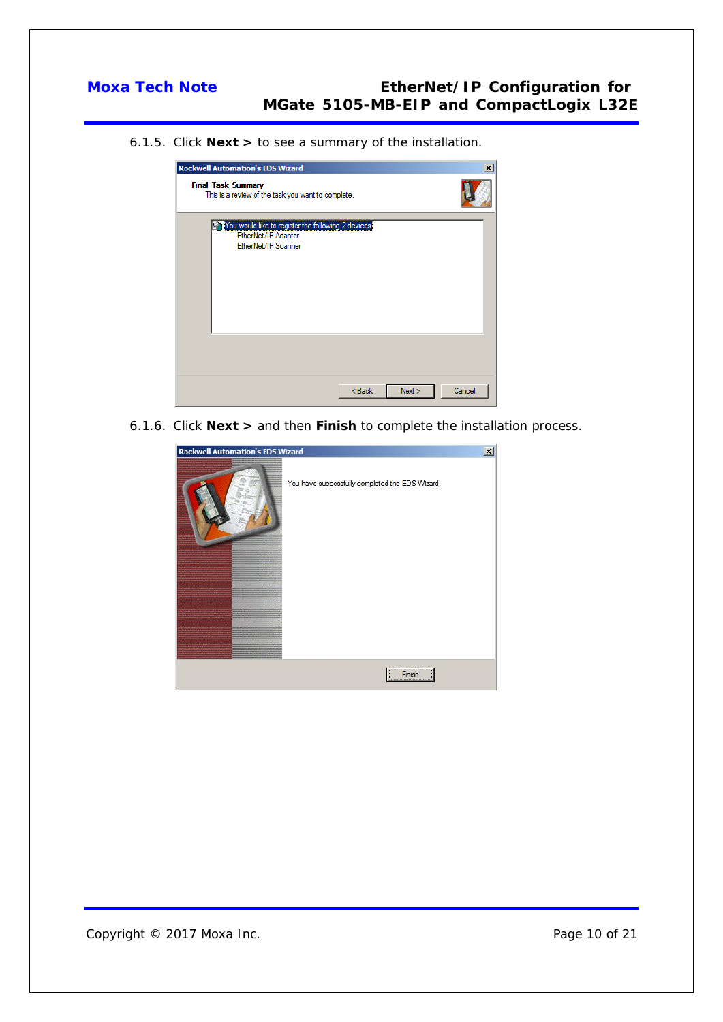6.1.5. Click **Next >** to see a summary of the installation.

| <b>Rockwell Automation's EDS Wizard</b>                                                          | $\mathbf{x}$     |
|--------------------------------------------------------------------------------------------------|------------------|
| <b>Final Task Summary</b><br>This is a review of the task you want to complete.                  |                  |
| You would like to register the following 2 devices<br>EtherNet/IP Adapter<br>EtherNet/IP Scanner |                  |
| $<$ Back                                                                                         | Cancel<br>Next > |

6.1.6. Click **Next >** and then **Finish** to complete the installation process.

| $\vert x \vert$<br><b>Rockwell Automation's EDS Wizard</b> |                                                 |  |
|------------------------------------------------------------|-------------------------------------------------|--|
|                                                            | You have successfully completed the EDS Wizard. |  |
|                                                            | Finish                                          |  |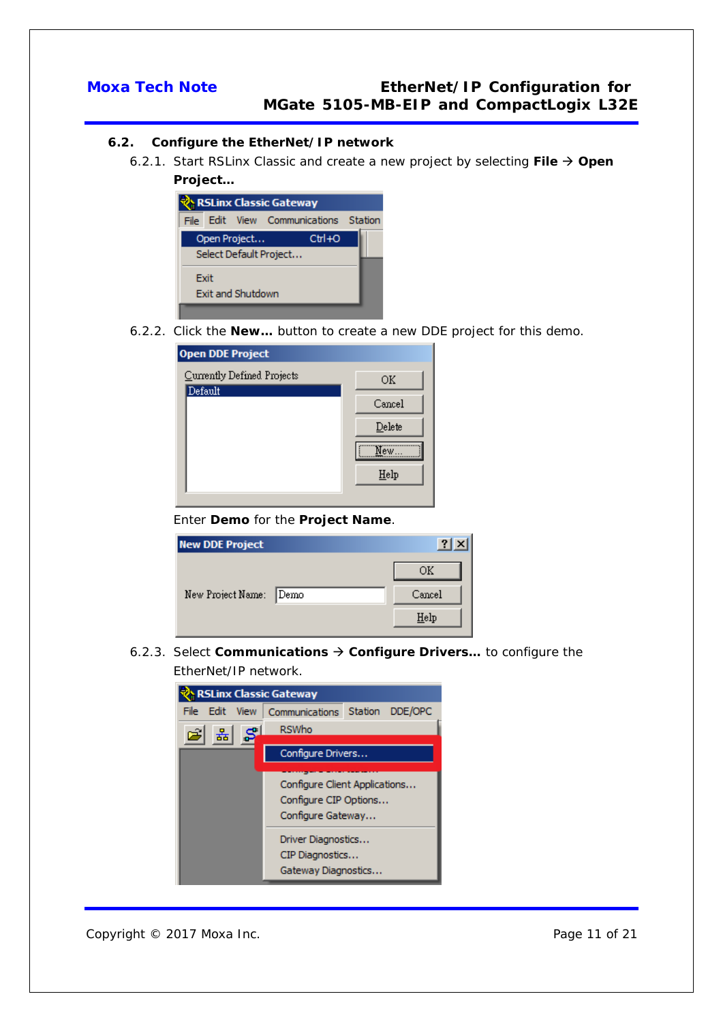### <span id="page-10-0"></span>**6.2. Configure the EtherNet/IP network**

6.2.1. Start RSLinx Classic and create a new project by selecting **File Open Project…**



6.2.2. Click the **New…** button to create a new DDE project for this demo.

| <b>Open DDE Project</b>    |        |
|----------------------------|--------|
| Currently Defined Projects | ΟK     |
| Default                    | Cancel |
|                            | Delete |
|                            | New…   |
|                            | Help   |

### Enter **Demo** for the **Project Name**.

| <b>New DDE Project</b> |        |
|------------------------|--------|
|                        | ΟK     |
| New Project Name: Demo | Cancel |
|                        | Help   |

6.2.3. Select **Communications Configure Drivers…** to configure the EtherNet/IP network.

| <b>RSLinx Classic Gateway</b> |                                                                             |                    |  |
|-------------------------------|-----------------------------------------------------------------------------|--------------------|--|
| File<br>Edit.<br><b>View</b>  | Communications                                                              | DDE/OPC<br>Station |  |
| ਤੱਤ                           | <b>RSWho</b>                                                                |                    |  |
|                               | Configure Drivers                                                           |                    |  |
|                               | Configure Client Applications<br>Configure CIP Options<br>Configure Gateway |                    |  |
|                               | Driver Diagnostics<br>CIP Diagnostics<br>Gateway Diagnostics                |                    |  |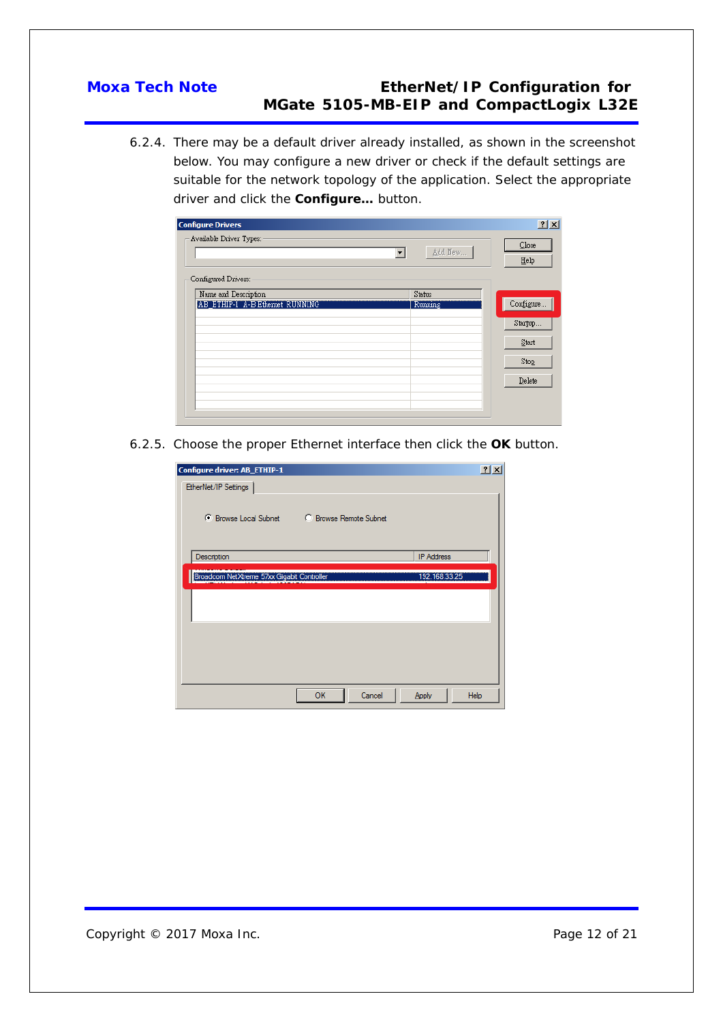6.2.4. There may be a default driver already installed, as shown in the screenshot below. You may configure a new driver or check if the default settings are suitable for the network topology of the application. Select the appropriate driver and click the **Configure…** button.

| <b>Configure Drivers</b>        |         | 2x               |
|---------------------------------|---------|------------------|
| Available Driver Types:         | Add New | $C$ lose<br>Help |
| Configured Drivers:             |         |                  |
| Name and Description            | Status  |                  |
| AB ETHIP-1 A-B Ethernet RUNNING | Running | Configure        |
|                                 |         | Startup          |
|                                 |         | Start            |
|                                 |         | Stop             |
|                                 |         | Delete           |
|                                 |         |                  |
|                                 |         |                  |

6.2.5. Choose the proper Ethernet interface then click the **OK** button.

| Configure driver: AB_ETHIP-1                           |                   | 2 X  |
|--------------------------------------------------------|-------------------|------|
| EtherNet/IP Settings                                   |                   |      |
| C Browse Local Subnet<br><b>C</b> Browse Remote Subnet |                   |      |
| Description                                            | <b>IP Address</b> |      |
| Broadcom NetXtreme 57xx Gigabit Controller             | 192.168.33.25     |      |
|                                                        |                   |      |
|                                                        |                   |      |
|                                                        |                   |      |
| Cancel<br>OK                                           | Apply             | Help |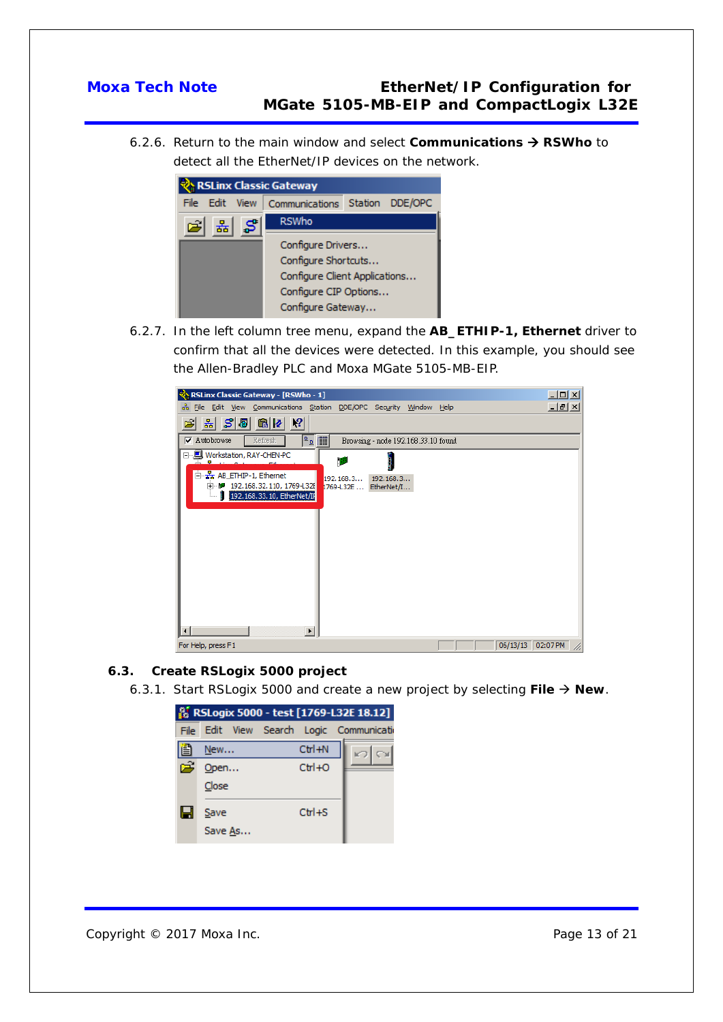6.2.6. Return to the main window and select **Communications → RSWho** to detect all the EtherNet/IP devices on the network.



6.2.7. In the left column tree menu, expand the **AB\_ETHIP-1, Ethernet** driver to confirm that all the devices were detected. In this example, you should see the Allen-Bradley PLC and Moxa MGate 5105-MB-EIP.



### <span id="page-12-0"></span>**6.3. Create RSLogix 5000 project**

6.3.1. Start RSLogix 5000 and create a new project by selecting **File New**.

|   |         | <b>&amp; RSLogix 5000 - test [1769-L32E 18.12]</b> |  |
|---|---------|----------------------------------------------------|--|
|   |         | File Edit View Search Logic Communication          |  |
| ê | New     | $Ctrl + N$                                         |  |
| 序 | Open    | $Ctr1+O$                                           |  |
|   | Close   |                                                    |  |
| ы | Save    | $Ctr1 + S$                                         |  |
|   | Save As |                                                    |  |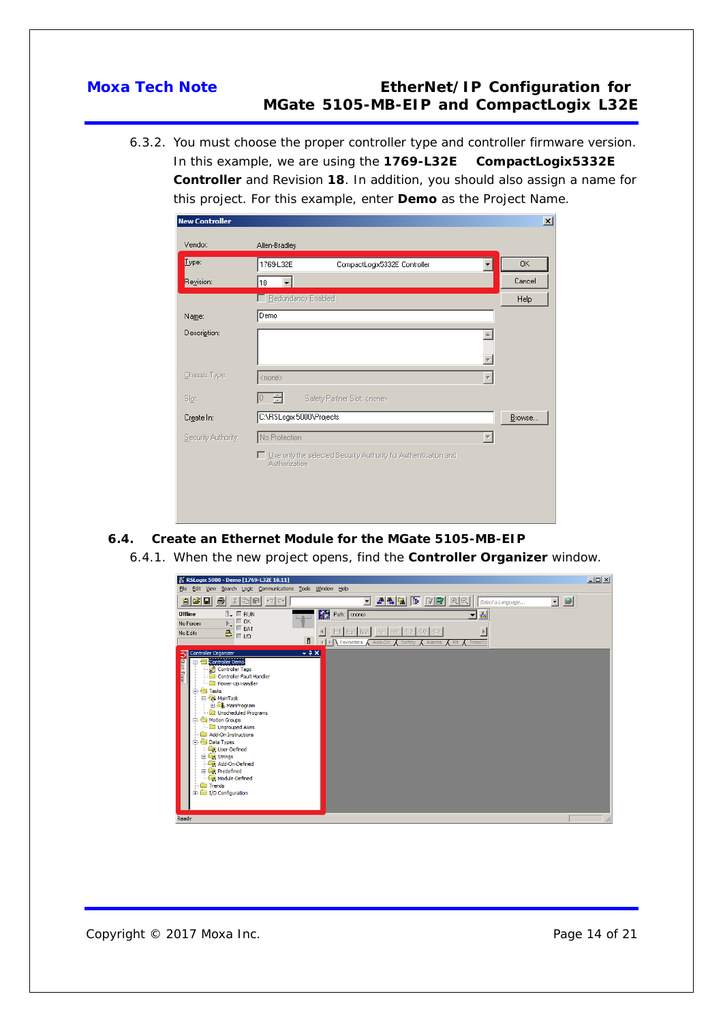6.3.2. You must choose the proper controller type and controller firmware version. In this example, we are using the **1769-L32E CompactLogix5332E Controller** and Revision **18**. In addition, you should also assign a name for this project. For this example, enter **Demo** as the Project Name.

| <b>New Controller</b> |                                                                                    | $\vert x \vert$ |
|-----------------------|------------------------------------------------------------------------------------|-----------------|
| Vendor:               | Allen-Bradley                                                                      |                 |
| Lype:                 | 1769-L32E<br>CompactLogix5332E Controller                                          | 0K              |
| Revision:             | 18                                                                                 | Cancel          |
|                       | E Redundancy Enabled                                                               | Help            |
| Name:                 | Demo                                                                               |                 |
| Description:          |                                                                                    |                 |
|                       |                                                                                    |                 |
| Chassis Type:         | <none></none>                                                                      |                 |
| Slot:                 | Safety Partner Slot: <none></none>                                                 |                 |
| Create In:            | C:\RSLogix 5000\Projects                                                           | Browse          |
| Security Authority:   | No Protection                                                                      |                 |
|                       | □ Use only the selected Security Authority for Authentication and<br>Authorization |                 |
|                       |                                                                                    |                 |
|                       |                                                                                    |                 |
|                       |                                                                                    |                 |

### <span id="page-13-0"></span>**6.4. Create an Ethernet Module for the MGate 5105-MB-EIP**

6.4.1. When the new project opens, find the **Controller Organizer** window.

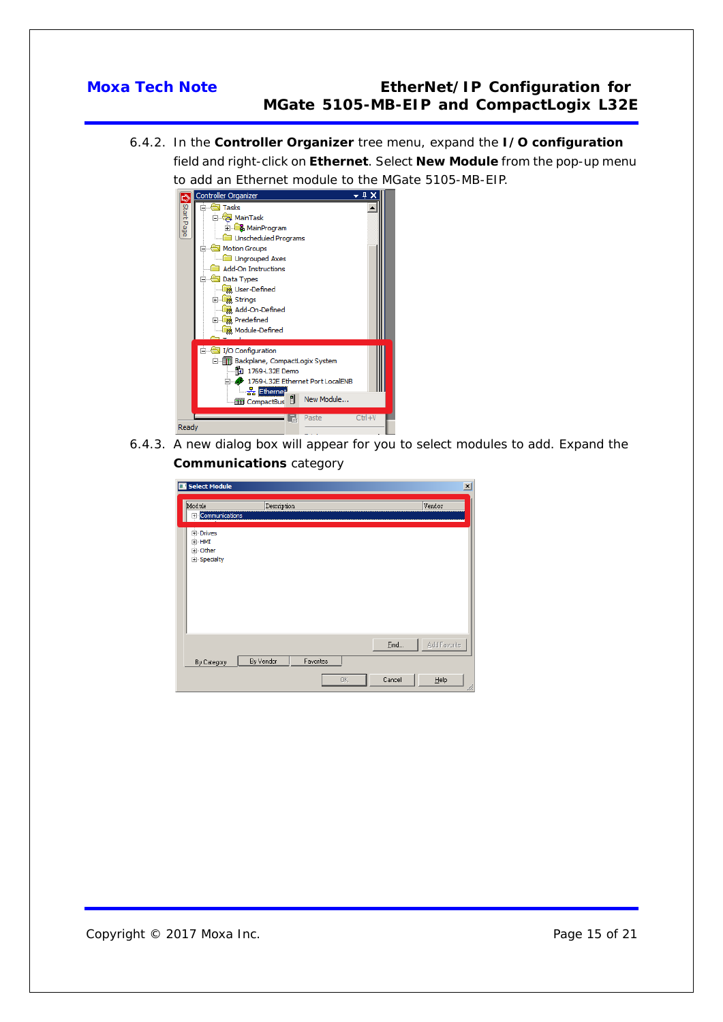6.4.2. In the **Controller Organizer** tree menu, expand the **I/O configuration** field and right-click on **Ethernet**. Select **New Module** from the pop-up menu to add an Ethernet module to the MGate 5105-MB-EIP.



6.4.3. A new dialog box will appear for you to select modules to add. Expand the **Communications** category

| Select Module                                     |                        |    |                | $\vert x \vert$           |
|---------------------------------------------------|------------------------|----|----------------|---------------------------|
| Module<br>E Communications                        | Description            |    |                | Vendor                    |
| .<br>⊞∙ Drives<br>⊞ HMI<br>由 Other<br>E Specialty |                        |    |                |                           |
| By Category                                       | By Vendor<br>Favorites | 0K | Eind<br>Cancel | Add Favorite<br>He<br>/ı. |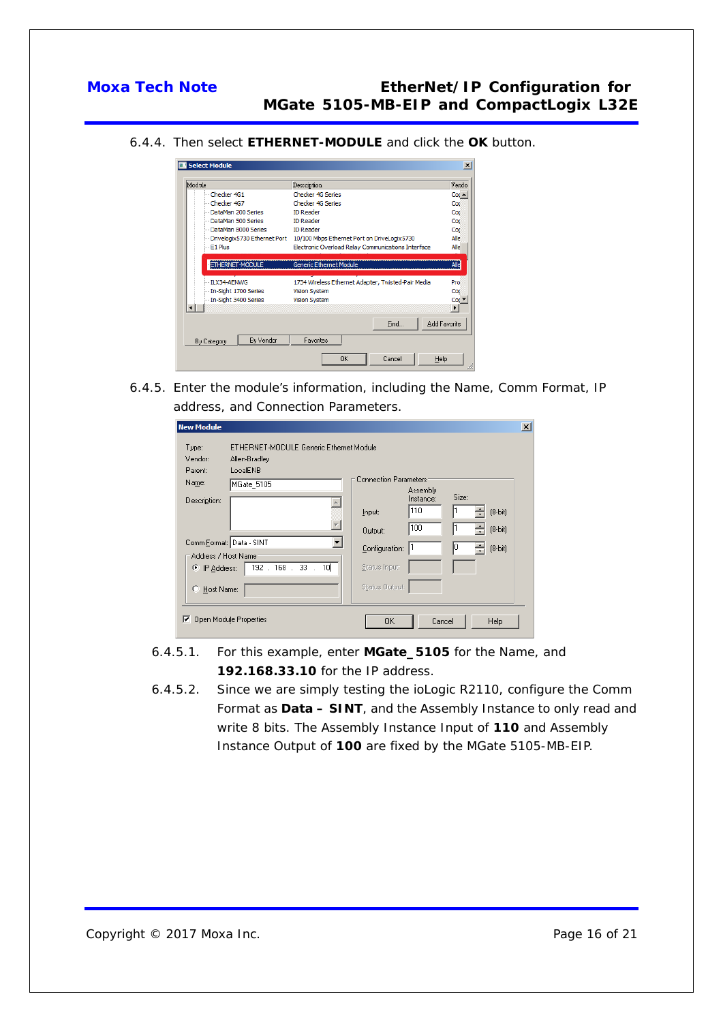6.4.4. Then select **ETHERNET-MODULE** and click the **OK** button.

|                          |                                                                            | $\vert x \vert$       |
|--------------------------|----------------------------------------------------------------------------|-----------------------|
| Module                   | Description                                                                | Vendo                 |
| - Checker 4G1            | Checker 4G Series                                                          | $Coc -$               |
| - Checker 4G7            | <b>Checker 4G Series</b>                                                   | Coc                   |
| -DataMan 200 Series      | <b>ID Reader</b>                                                           | Coc                   |
| -DataMan 500 Series      | <b>ID Reader</b>                                                           | Coc                   |
| DataMan 8000 Series      | <b>ID Reader</b>                                                           | Coc                   |
|                          | Drivelogix 5730 Ethernet Port 10/100 Mbps Ethernet Port on DriveLogix 5730 | Alle                  |
| $-E1$ Plus               | Electronic Overload Relay Communications Interface                         | Alle                  |
| <b>ETHERNET-MODULE</b>   | <b>Generic Ethernet Module</b>                                             | Alle                  |
| -- ILX34-AENWG           | 1734 Wireless Ethernet Adapter, Twisted-Pair Media                         | Pro                   |
| - In-Sight 1700 Series   | <b>Vision System</b>                                                       | Coc                   |
| In-Sight 3400 Series     | Vision System                                                              | Cod                   |
|                          |                                                                            | $\blacktriangleright$ |
|                          | Find                                                                       | Add Favorite          |
| By Vendor<br>By Category | Favorites                                                                  |                       |
|                          | 0K<br>Cancel<br>Help                                                       |                       |

6.4.5. Enter the module's information, including the Name, Comm Format, IP address, and Connection Parameters.

| <b>New Module</b>                                                                                   |                                                                                             | $\vert x \vert$ |
|-----------------------------------------------------------------------------------------------------|---------------------------------------------------------------------------------------------|-----------------|
| ETHERNET-MODULE Generic Ethernet Module<br>Type:<br>Vendor:<br>Allen-Bradley<br>LocalENB<br>Parent: | <b>Connection Parameters</b>                                                                |                 |
| Name:<br>MGate 5105<br>Description:                                                                 | Assembly<br>Size:<br>Instance:<br>110<br>$(8-bit)$<br>Input:<br>100<br>$[8-bit]$<br>Output: |                 |
| Comm Format: Data - SINT<br>Address / Host Name<br>192 . 168 . 33 . 10<br>C IP Address:             | 10<br>$(8-bit)$<br>Configuration:<br>Status Input:                                          |                 |
| C Host Name:                                                                                        | Status Output:                                                                              |                 |
| Open Module Properties<br>⊽                                                                         | 0K<br>Cancel<br>Help                                                                        |                 |

- 6.4.5.1. For this example, enter **MGate\_5105** for the Name, and **192.168.33.10** for the IP address.
- 6.4.5.2. Since we are simply testing the ioLogic R2110, configure the Comm Format as **Data – SINT**, and the Assembly Instance to only read and write 8 bits. The Assembly Instance Input of **110** and Assembly Instance Output of **100** are fixed by the MGate 5105-MB-EIP.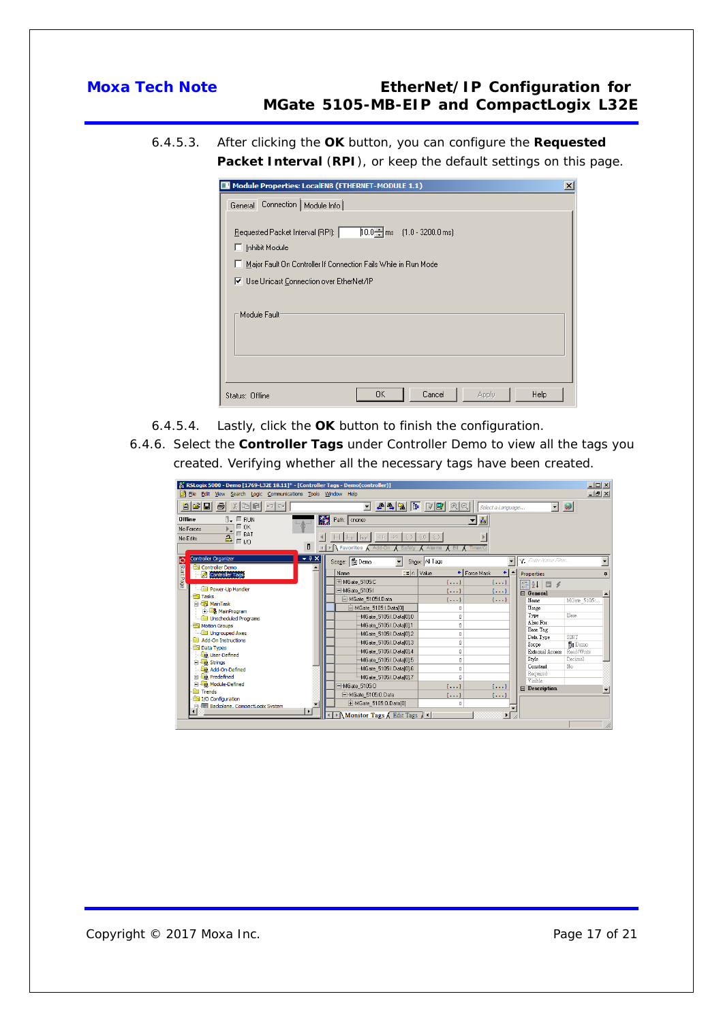6.4.5.3. After clicking the **OK** button, you can configure the **Requested Packet Interval** (**RPI**), or keep the default settings on this page.

| Module Properties: LocalENB (ETHERNET-MODULE 1.1)<br>$\times$                                                                                                        |
|----------------------------------------------------------------------------------------------------------------------------------------------------------------------|
| Connection   Module Info  <br>General                                                                                                                                |
| $10.0 - \text{ms}$ (1.0 - 3200.0 ms)<br>Requested Packet Interval (RPI):<br>$\Box$ Inhibit Module<br>Major Fault On Controller If Connection Fails While in Run Mode |
| V Use Unicast Connection over EtherNet/IP                                                                                                                            |
| Module Fault <sup>.</sup>                                                                                                                                            |
|                                                                                                                                                                      |
| Cancel<br>0K<br>Help<br>Apply<br>Status: Offline                                                                                                                     |

- 6.4.5.4. Lastly, click the **OK** button to finish the configuration.
- 6.4.6. Select the **Controller Tags** under Controller Demo to view all the tags you created. Verifying whether all the necessary tags have been created.

| a Siei<br>A4REPPRQ<br>$\bullet$<br>4<br>$\chi$<br>$\blacktriangledown$<br>$\blacktriangledown$<br>Select a Language<br>鬫<br>훏<br><b>Offline</b><br>$\P$ . $\Pi$ RUN<br>Path: <none><br/><math>\Box</math> OK<br/>No Forces<br/><math>\Box</math> BAT<br/><math>2 - 20</math><br/>No Edits</none> |   |  |  |  |  |  |
|--------------------------------------------------------------------------------------------------------------------------------------------------------------------------------------------------------------------------------------------------------------------------------------------------|---|--|--|--|--|--|
|                                                                                                                                                                                                                                                                                                  |   |  |  |  |  |  |
|                                                                                                                                                                                                                                                                                                  |   |  |  |  |  |  |
|                                                                                                                                                                                                                                                                                                  |   |  |  |  |  |  |
|                                                                                                                                                                                                                                                                                                  |   |  |  |  |  |  |
| đ<br>Favorites A Add-On<br><b>Bit</b><br>Alarms                                                                                                                                                                                                                                                  |   |  |  |  |  |  |
| <b>Controller Organizer</b><br>$-4X$<br>V. Enter Name Filter.<br>Scope: 10 Demo<br>Show: All Tags<br>$\overline{\phantom{a}}$                                                                                                                                                                    |   |  |  |  |  |  |
| <b>P</b> Start Page<br>Controller Demo<br>$\equiv$ $\parallel$ $\land$ $\parallel$ $\lor$ alue<br>← Force Mask<br>Name<br>٠<br><b>Properties</b><br>Controller Tags                                                                                                                              | д |  |  |  |  |  |
| E-MGate_5105:C<br>$\{ \}$<br>$\{ \}$<br>$\left  \frac{1}{2} \right  \left  \frac{1}{2} \right  \left  \frac{1}{2} \right  \leq \frac{1}{2}$                                                                                                                                                      |   |  |  |  |  |  |
| Power-Up Handler<br>MGate 5105:I<br>$\{ \}$<br>$\{ \}$<br>$\boxdot$ General                                                                                                                                                                                                                      |   |  |  |  |  |  |
| <b>Tasks</b><br>MGate 5105:I.Data<br>$\{ \}$<br>$\{ \}$<br>Name<br>MGate_5105:.                                                                                                                                                                                                                  |   |  |  |  |  |  |
| <b>B</b> MainTask<br>MGate_5105:I.Data[0]<br>Usage<br>$\Omega$                                                                                                                                                                                                                                   |   |  |  |  |  |  |
| <b>E. MainProgram</b><br>Type<br>Base<br>MGate 5105:1.Data[01.0<br>$\circ$<br>Unscheduled Programs                                                                                                                                                                                               |   |  |  |  |  |  |
| Alias For<br>MGate 5105:1.Data[01.1<br>Motion Groups<br>$\mathbf{0}$                                                                                                                                                                                                                             |   |  |  |  |  |  |
| Base Tag<br>Ungrouped Axes<br>MGate_5105:I.Data[0].2<br>$\circ$                                                                                                                                                                                                                                  |   |  |  |  |  |  |
| SINT<br>Data Type<br>Add-On Instructions<br>MGate 5105:1.Data[01.3<br>$\circ$<br><b>Pa</b> Demo<br>Scope                                                                                                                                                                                         |   |  |  |  |  |  |
| <b>Data Types</b><br>MGate_5105:I.Data[0].4<br>Read/Write<br>$\circ$<br>External Access                                                                                                                                                                                                          |   |  |  |  |  |  |
| User-Defined<br>Style<br>Decimal<br>MGate_5105:I.Data[0].5<br>$\circ$                                                                                                                                                                                                                            |   |  |  |  |  |  |
| El <b>De</b> Strings<br>Constant<br>No<br>MGate 5105:1.Data[01.6<br>Add-On-Defined<br>$\Omega$                                                                                                                                                                                                   |   |  |  |  |  |  |
| Required<br><b>Predefined</b><br>MGate_5105:I.Data[0].7<br>$\Omega$                                                                                                                                                                                                                              |   |  |  |  |  |  |
| Visible<br>Module-Defined<br>-MGate 5105:0<br>${}$<br>$\{ \}$                                                                                                                                                                                                                                    |   |  |  |  |  |  |
| <b>El Description</b><br><b>Trends</b><br>□ MGate 5105:0.Data                                                                                                                                                                                                                                    |   |  |  |  |  |  |
| $\{ \}$<br>${}$<br>I/O Configuration                                                                                                                                                                                                                                                             |   |  |  |  |  |  |
| H-MGate_5105:0.Data[0]<br>$\Omega$<br>File <b>Fill</b> Backplane, CompactLogix System                                                                                                                                                                                                            |   |  |  |  |  |  |
| Monitor Tags / Edit Tags / 1                                                                                                                                                                                                                                                                     |   |  |  |  |  |  |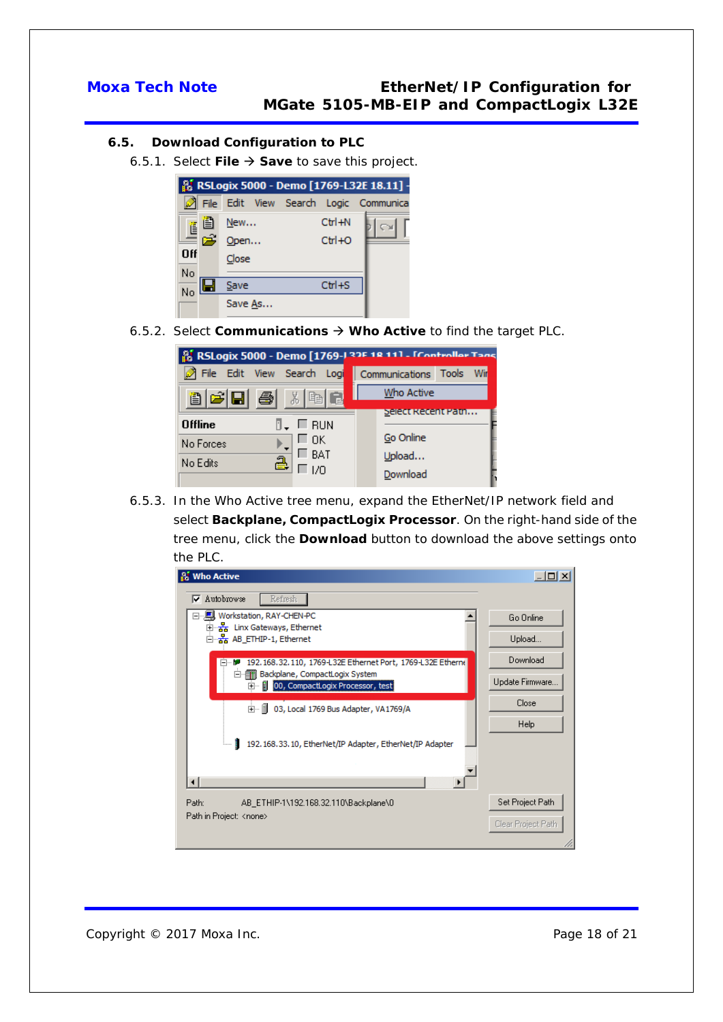### <span id="page-17-0"></span>**6.5. Download Configuration to PLC**

6.5.1. Select **File Save** to save this project.

|                                                                                                        |         |  |            | <b>&amp; RSLogix 5000 - Demo [1769-L32E 18.11] -</b> |
|--------------------------------------------------------------------------------------------------------|---------|--|------------|------------------------------------------------------|
|                                                                                                        |         |  |            | File Edit View Search Logic Communica                |
|                                                                                                        | New     |  | $Ctrl + N$ |                                                      |
| $\begin{array}{c}\n\begin{array}{c}\n\mathbf{1} \\ \mathbf{1} \\ \mathbf{1}\n\end{array}\n\end{array}$ | Open    |  | $Ctr1+O$   |                                                      |
| Off                                                                                                    | Close   |  |            |                                                      |
| No                                                                                                     |         |  |            |                                                      |
| $No$ $\blacksquare$                                                                                    | Save    |  | $Ctr1 + S$ |                                                      |
|                                                                                                        | Save As |  |            |                                                      |

6.5.2. Select **Communications Who Active** to find the target PLC.

| 8 RSLogix 5000 - Demo [1769-] 32F 18 111 - [Controller Tans |                          |  |  |  |  |
|-------------------------------------------------------------|--------------------------|--|--|--|--|
| File Edit View Search Logi                                  | Communications Tools Wir |  |  |  |  |
| 8 F F 4<br>3. 电                                             | Who Active               |  |  |  |  |
| ∏. ∟ RUN<br><b>Offline</b>                                  | Select Recent Path       |  |  |  |  |
| ⊏ ок<br>No Forces                                           | Go Online                |  |  |  |  |
| $\Box$ BAT<br>ą<br>No Edits                                 | Upload                   |  |  |  |  |
|                                                             | Download                 |  |  |  |  |

6.5.3. In the Who Active tree menu, expand the EtherNet/IP network field and select **Backplane, CompactLogix Processor**. On the right-hand side of the tree menu, click the **Download** button to download the above settings onto the PLC.

| <b>Who Active</b>                                                            | $ \Box$ $\times$   |
|------------------------------------------------------------------------------|--------------------|
| Refresh<br>$\nabla$ Autobrowse                                               |                    |
| □…具 Workstation, RAY-CHEN-PC                                                 | Go Online          |
| 由 品 Linx Gateways, Ethernet<br>□ 공 AB_ETHIP-1, Ethernet                      | Upload             |
| 192, 168, 32, 110, 1769-L32E Ethernet Port, 1769-L32E Etherne<br>F 1999      | Download           |
| 白 目 Backplane, CompactLogix System<br>El-   00, CompactLogix Processor, test | Update Firmware    |
| i- 1 03, Local 1769 Bus Adapter, VA1769/A                                    | Close              |
|                                                                              | Help               |
| 192.168.33.10, EtherNet/IP Adapter, EtherNet/IP Adapter<br>п<br>i            |                    |
|                                                                              |                    |
| Path:<br>AB ETHIP-1\192.168.32.110\Backplane\0                               | Set Project Path   |
| Path in Project: <none></none>                                               | Clear Project Path |
|                                                                              |                    |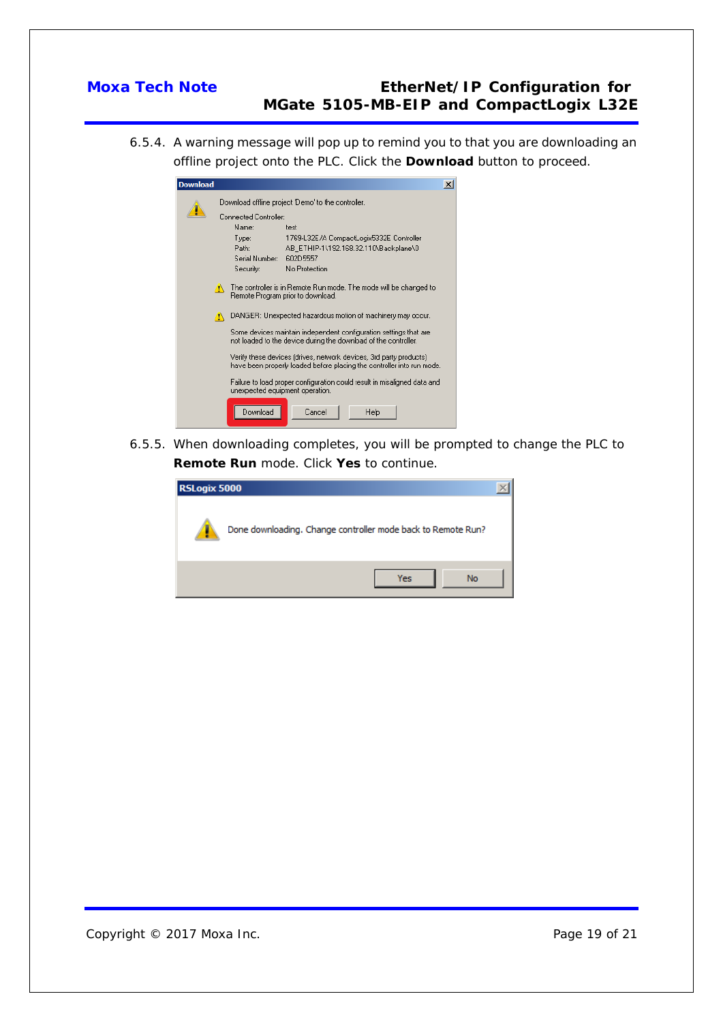6.5.4. A warning message will pop up to remind you to that you are downloading an offline project onto the PLC. Click the **Download** button to proceed.

| Download |                                                                                                             |                                                                                                                                              |                                          | $\overline{\mathbf{x}}$ |  |  |
|----------|-------------------------------------------------------------------------------------------------------------|----------------------------------------------------------------------------------------------------------------------------------------------|------------------------------------------|-------------------------|--|--|
|          |                                                                                                             | Download offline project 'Demo' to the controller.                                                                                           |                                          |                         |  |  |
|          |                                                                                                             | Connected Controller:                                                                                                                        |                                          |                         |  |  |
|          |                                                                                                             | Name:                                                                                                                                        | test                                     |                         |  |  |
|          |                                                                                                             | Type:                                                                                                                                        | 1769-L32E/A CompactLogix5332E Controller |                         |  |  |
|          |                                                                                                             | Path:                                                                                                                                        | AB ETHIP-1\192.168.32.110\Backplane\0    |                         |  |  |
|          |                                                                                                             | Serial Number:                                                                                                                               | 602D5557                                 |                         |  |  |
|          |                                                                                                             | Security:                                                                                                                                    | No Protection                            |                         |  |  |
|          |                                                                                                             |                                                                                                                                              |                                          |                         |  |  |
|          | The controller is in Remote Run mode. The mode will be changed to<br>А<br>Remote Program prior to download. |                                                                                                                                              |                                          |                         |  |  |
|          | DANGER: Unexpected hazardous motion of machinery may occur.<br>Ж                                            |                                                                                                                                              |                                          |                         |  |  |
|          |                                                                                                             | Some devices maintain independent configuration settings that are<br>not loaded to the device during the download of the controller.         |                                          |                         |  |  |
|          |                                                                                                             | Verify these devices (drives, network devices, 3rd party products)<br>have been properly loaded before placing the controller into run mode. |                                          |                         |  |  |
|          |                                                                                                             | Failure to load proper configuration could result in misaligned data and<br>unexpected equipment operation.                                  |                                          |                         |  |  |
|          |                                                                                                             | Download                                                                                                                                     | Cancel<br>Help                           |                         |  |  |

6.5.5. When downloading completes, you will be prompted to change the PLC to **Remote Run** mode. Click **Yes** to continue.

| RSLogix 5000 |                                                              |  |  |  |  |
|--------------|--------------------------------------------------------------|--|--|--|--|
|              | Done downloading. Change controller mode back to Remote Run? |  |  |  |  |
|              | No<br>Yes                                                    |  |  |  |  |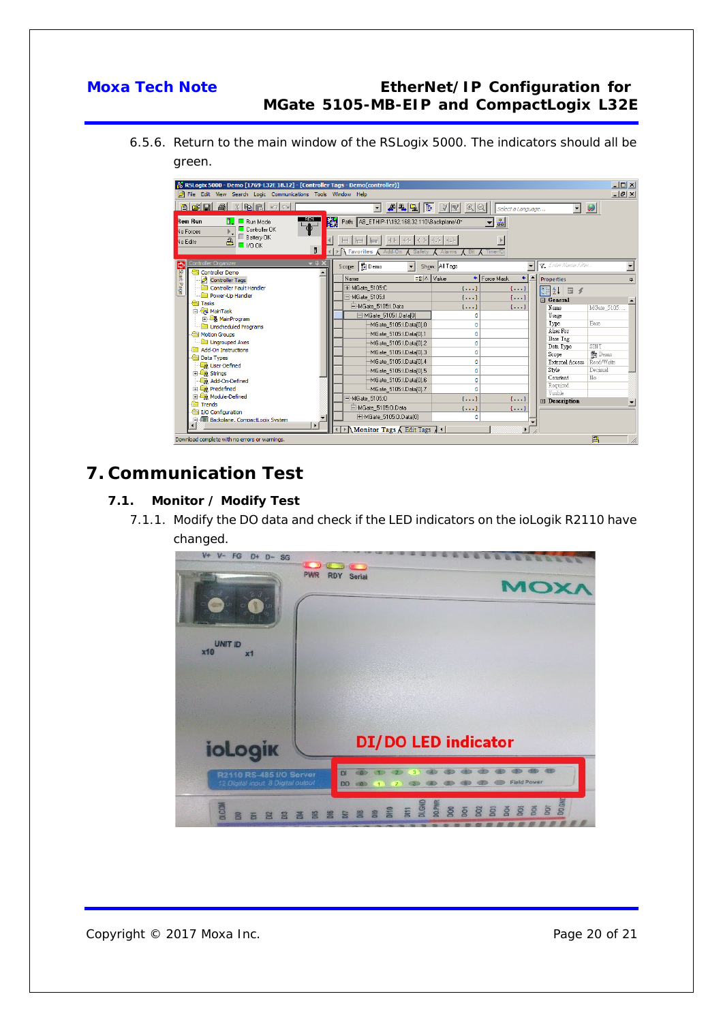6.5.6. Return to the main window of the RSLogix 5000. The indicators should all be green.

| $\Box$ D $\Box$<br>RSLogix 5000 - Demo [1769-L32E 18.12] - [Controller Tags - Demo(controller)]<br>$  E $ $\times$<br>File Edit View Search Logic Communications Tools Window Help    |                                                                                                                                                                                              |                                                                                                                     |  |  |  |  |  |  |  |
|---------------------------------------------------------------------------------------------------------------------------------------------------------------------------------------|----------------------------------------------------------------------------------------------------------------------------------------------------------------------------------------------|---------------------------------------------------------------------------------------------------------------------|--|--|--|--|--|--|--|
| ACRAINBROI<br>$\Box$ 444556584<br>ы<br>$\vert \cdot \vert$<br>Select a Language                                                                                                       |                                                                                                                                                                                              |                                                                                                                     |  |  |  |  |  |  |  |
| <b>REM</b><br>Rem Bun<br>$\overline{\mathsf{B}}$ $\Box$ Run Mode<br>$\Box$ Controller $0K$<br>No Forces<br>E Battery OK<br>$\overline{\mathbf{a}}$<br>No Edits<br>$\Box$ 1/0 0K<br>Ð. | Path: AB_ETHIP-1\192.168.32.110\Backplane\0*<br>ᅱᆲ<br>$  +   +   +   +   +   +   +   +   +   +   +  $<br>$\mathbf{E}$<br>▶ Savorites Add-On<br>A Bit (Timer/Co<br>$\lambda$ Safety<br>Alarms |                                                                                                                     |  |  |  |  |  |  |  |
| Controller Organizer<br>$-4x$<br>⇨<br>Controller Demo                                                                                                                                 | Scope: 10 Demo<br>Show: All Tags                                                                                                                                                             | <b>Y</b> Enter Name Filter.                                                                                         |  |  |  |  |  |  |  |
| Start Page<br>Controller Tags                                                                                                                                                         | Force Mask<br>$\exists$ $\triangle$   Value<br>Name<br>$+1-$                                                                                                                                 | <b>Properties</b><br>д                                                                                              |  |  |  |  |  |  |  |
| Controller Fault Handler                                                                                                                                                              | 田-MGate 5105:C<br>$\{ \}$<br>$\{ \}$                                                                                                                                                         | $\left \frac{1}{2}\right  \left \frac{1}{2}\right  \left \frac{1}{2}\right  \left \frac{1}{2}\right  \leq \epsilon$ |  |  |  |  |  |  |  |
| Power-Up Handler<br><b>Red</b> Tasks                                                                                                                                                  | E-MGate 5105:I<br>$\{ \}$<br>$\{ \}$                                                                                                                                                         | $\Box$ General                                                                                                      |  |  |  |  |  |  |  |
| <b>B</b> MainTask                                                                                                                                                                     | MGate_5105:I.Data<br>$\{ \}$<br>$\{\ldots\}$                                                                                                                                                 | Name<br>MGate_5105:.                                                                                                |  |  |  |  |  |  |  |
| <b>B</b> MainProgram                                                                                                                                                                  | □ MGate_5105:I.Data[0]<br>٥                                                                                                                                                                  | Usage                                                                                                               |  |  |  |  |  |  |  |
| <b>Com</b> Unscheduled Programs                                                                                                                                                       | MGate 5105:I.Data[0].0<br>o                                                                                                                                                                  | Type<br>Base                                                                                                        |  |  |  |  |  |  |  |
| Motion Groups                                                                                                                                                                         | MGate 5105:1.Data[0].1<br>٥                                                                                                                                                                  | Alias For                                                                                                           |  |  |  |  |  |  |  |
| Ungrouped Axes                                                                                                                                                                        | MGate_5105:I.Data[0].2<br>o                                                                                                                                                                  | Base Tag<br><b>SINT</b>                                                                                             |  |  |  |  |  |  |  |
| <b>Add-On Instructions</b>                                                                                                                                                            | MGate_5105:I.Data[0].3<br>o                                                                                                                                                                  | Data Type<br>to Demo<br>Scope                                                                                       |  |  |  |  |  |  |  |
| Data Types                                                                                                                                                                            | MGate 5105:1.Data[0].4<br>$\Omega$                                                                                                                                                           | External Access Read/Write                                                                                          |  |  |  |  |  |  |  |
| User-Defined                                                                                                                                                                          | MGate 5105:1.Data[0].5<br>٥                                                                                                                                                                  | Style<br>Decimal                                                                                                    |  |  |  |  |  |  |  |
| E Strings                                                                                                                                                                             | MGate_5105:1.Data[0].6<br>o                                                                                                                                                                  | Constant<br>No.                                                                                                     |  |  |  |  |  |  |  |
| Add-On-Defined<br><b>En Predefined</b>                                                                                                                                                |                                                                                                                                                                                              | Required                                                                                                            |  |  |  |  |  |  |  |
| Module-Defined                                                                                                                                                                        | MGate_5105:I.Data[0].7<br>Ω                                                                                                                                                                  | Visible                                                                                                             |  |  |  |  |  |  |  |
| <b>Frends</b>                                                                                                                                                                         | □ MGate 5105:0<br>$\{ \}$<br>$\{ \}$                                                                                                                                                         | <b>El Description</b>                                                                                               |  |  |  |  |  |  |  |
| I/O Configuration                                                                                                                                                                     | □-MGate 5105:0.Data<br>$\{ \}$<br>$\{ \}$                                                                                                                                                    |                                                                                                                     |  |  |  |  |  |  |  |
| <b>Fill Backplane, CompactLogix System</b><br>Ė.                                                                                                                                      | H-MGate_5105:0.Data[0]<br>n                                                                                                                                                                  |                                                                                                                     |  |  |  |  |  |  |  |
| Monitor Tags & Edit Tags                                                                                                                                                              |                                                                                                                                                                                              |                                                                                                                     |  |  |  |  |  |  |  |
| A<br>Download complete with no errors or warnings.                                                                                                                                    |                                                                                                                                                                                              |                                                                                                                     |  |  |  |  |  |  |  |

## <span id="page-19-0"></span>**7. Communication Test**

### <span id="page-19-1"></span>**7.1. Monitor / Modify Test**

7.1.1. Modify the DO data and check if the LED indicators on the ioLogik R2110 have changed.